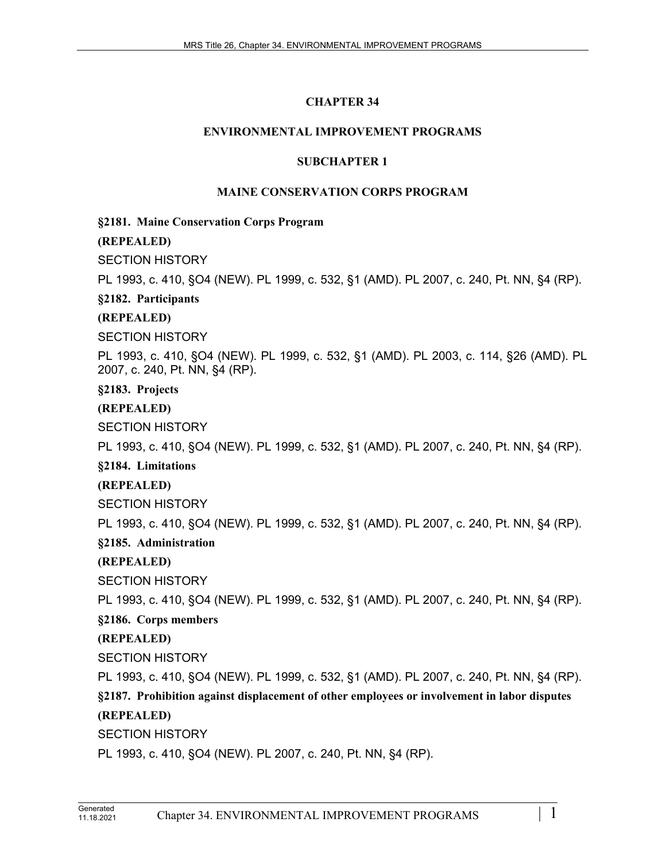# **CHAPTER 34**

# **ENVIRONMENTAL IMPROVEMENT PROGRAMS**

#### **SUBCHAPTER 1**

# **MAINE CONSERVATION CORPS PROGRAM**

#### **§2181. Maine Conservation Corps Program**

# **(REPEALED)**

# SECTION HISTORY

PL 1993, c. 410, §O4 (NEW). PL 1999, c. 532, §1 (AMD). PL 2007, c. 240, Pt. NN, §4 (RP).

# **§2182. Participants**

# **(REPEALED)**

SECTION HISTORY

PL 1993, c. 410, §O4 (NEW). PL 1999, c. 532, §1 (AMD). PL 2003, c. 114, §26 (AMD). PL 2007, c. 240, Pt. NN, §4 (RP).

**§2183. Projects**

# **(REPEALED)**

SECTION HISTORY

PL 1993, c. 410, §O4 (NEW). PL 1999, c. 532, §1 (AMD). PL 2007, c. 240, Pt. NN, §4 (RP).

#### **§2184. Limitations**

# **(REPEALED)**

SECTION HISTORY

PL 1993, c. 410, §O4 (NEW). PL 1999, c. 532, §1 (AMD). PL 2007, c. 240, Pt. NN, §4 (RP).

# **§2185. Administration**

**(REPEALED)**

SECTION HISTORY

PL 1993, c. 410, §O4 (NEW). PL 1999, c. 532, §1 (AMD). PL 2007, c. 240, Pt. NN, §4 (RP).

# **§2186. Corps members**

# **(REPEALED)**

SECTION HISTORY

PL 1993, c. 410, §O4 (NEW). PL 1999, c. 532, §1 (AMD). PL 2007, c. 240, Pt. NN, §4 (RP).

# **§2187. Prohibition against displacement of other employees or involvement in labor disputes**

# **(REPEALED)**

SECTION HISTORY

PL 1993, c. 410, §O4 (NEW). PL 2007, c. 240, Pt. NN, §4 (RP).